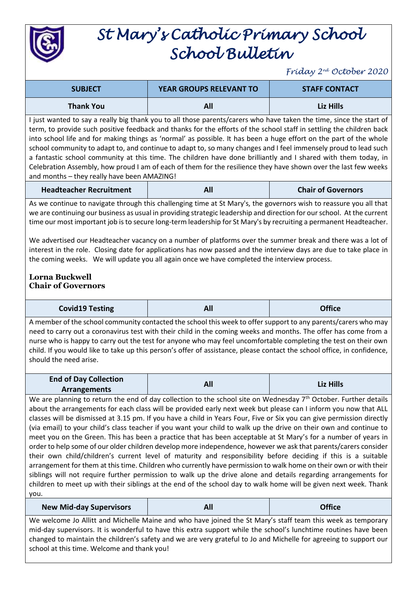

## *St Mary's Catholic Primary School School Bulletin*

*Friday 2nd October 2020*

| <b>SUBJECT</b>                                                                                                     | <b>YEAR GROUPS RELEVANT TO</b> | <b>STAFF CONTACT</b> |
|--------------------------------------------------------------------------------------------------------------------|--------------------------------|----------------------|
| <b>Thank You</b>                                                                                                   | All                            | Liz Hills            |
| Livet wanted to cay a really big thead you to all these noreste/carers who hous taken the time, since the start of |                                |                      |

I just wanted to say a really big thank you to all those parents/carers who have taken the time, since the start of term, to provide such positive feedback and thanks for the efforts of the school staff in settling the children back into school life and for making things as 'normal' as possible. It has been a huge effort on the part of the whole school community to adapt to, and continue to adapt to, so many changes and I feel immensely proud to lead such a fantastic school community at this time. The children have done brilliantly and I shared with them today, in Celebration Assembly, how proud I am of each of them for the resilience they have shown over the last few weeks and months – they really have been AMAZING!

| <b>Headteacher Recruitment</b> | All | <b>Chair of Governors</b> |
|--------------------------------|-----|---------------------------|
|--------------------------------|-----|---------------------------|

As we continue to navigate through this challenging time at St Mary's, the governors wish to reassure you all that we are continuing our business as usual in providing strategic leadership and direction for our school. At the current time our most important job is to secure long-term leadership for St Mary's by recruiting a permanent Headteacher.

We advertised our Headteacher vacancy on a number of platforms over the summer break and there was a lot of interest in the role. Closing date for applications has now passed and the interview days are due to take place in the coming weeks. We will update you all again once we have completed the interview process.

## **Lorna Buckwell Chair of Governors**

| <b>Covid19 Testing</b><br><b>Office</b><br>יי<br>- --- |
|--------------------------------------------------------|
|--------------------------------------------------------|

A member of the school community contacted the school this week to offer support to any parents/carers who may need to carry out a coronavirus test with their child in the coming weeks and months. The offer has come from a nurse who is happy to carry out the test for anyone who may feel uncomfortable completing the test on their own child. If you would like to take up this person's offer of assistance, please contact the school office, in confidence, should the need arise.

| <b>End of Day Collection</b> | All | Liz Hills |
|------------------------------|-----|-----------|
| <b>Arrangements</b>          |     |           |

We are planning to return the end of day collection to the school site on Wednesday  $7<sup>th</sup>$  October. Further details about the arrangements for each class will be provided early next week but please can I inform you now that ALL classes will be dismissed at 3.15 pm. If you have a child in Years Four, Five or Six you can give permission directly (via email) to your child's class teacher if you want your child to walk up the drive on their own and continue to meet you on the Green. This has been a practice that has been acceptable at St Mary's for a number of years in order to help some of our older children develop more independence, however we ask that parents/carers consider their own child/children's current level of maturity and responsibility before deciding if this is a suitable arrangement for them at this time. Children who currently have permission to walk home on their own or with their siblings will not require further permission to walk up the drive alone and details regarding arrangements for children to meet up with their siblings at the end of the school day to walk home will be given next week. Thank you.

**New Mid-day Supervisors All Office**

We welcome Jo Allitt and Michelle Maine and who have joined the St Mary's staff team this week as temporary mid-day supervisors. It is wonderful to have this extra support while the school's lunchtime routines have been changed to maintain the children's safety and we are very grateful to Jo and Michelle for agreeing to support our school at this time. Welcome and thank you!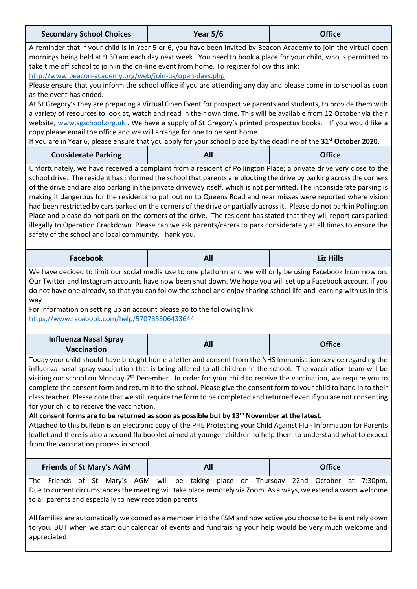| <b>Secondary School Choices</b>                                                                                                                                                                                                                                                                                                                                                                                                                                                                                                                                                                                                                                                                                                                                                                                                                                                                                                                                                                                                                                     | <b>Year 5/6</b> | <b>Office</b>    |  |
|---------------------------------------------------------------------------------------------------------------------------------------------------------------------------------------------------------------------------------------------------------------------------------------------------------------------------------------------------------------------------------------------------------------------------------------------------------------------------------------------------------------------------------------------------------------------------------------------------------------------------------------------------------------------------------------------------------------------------------------------------------------------------------------------------------------------------------------------------------------------------------------------------------------------------------------------------------------------------------------------------------------------------------------------------------------------|-----------------|------------------|--|
| A reminder that if your child is in Year 5 or 6, you have been invited by Beacon Academy to join the virtual open<br>mornings being held at 9.30 am each day next week. You need to book a place for your child, who is permitted to<br>take time off school to join in the on-line event from home. To register follow this link:<br>http://www.beacon-academy.org/web/join-us/open-days.php                                                                                                                                                                                                                                                                                                                                                                                                                                                                                                                                                                                                                                                                       |                 |                  |  |
| Please ensure that you inform the school office if you are attending any day and please come in to school as soon<br>as the event has ended.<br>At St Gregory's they are preparing a Virtual Open Event for prospective parents and students, to provide them with<br>a variety of resources to look at, watch and read in their own time. This will be available from 12 October via their<br>website, www.sgschool.org.uk. We have a supply of St Gregory's printed prospectus books. If you would like a<br>copy please email the office and we will arrange for one to be sent home.<br>If you are in Year 6, please ensure that you apply for your school place by the deadline of the 31 <sup>st</sup> October 2020.                                                                                                                                                                                                                                                                                                                                          |                 |                  |  |
| <b>Considerate Parking</b>                                                                                                                                                                                                                                                                                                                                                                                                                                                                                                                                                                                                                                                                                                                                                                                                                                                                                                                                                                                                                                          | All             | <b>Office</b>    |  |
| Unfortunately, we have received a complaint from a resident of Pollington Place; a private drive very close to the<br>school drive. The resident has informed the school that parents are blocking the drive by parking across the corners<br>of the drive and are also parking in the private driveway itself, which is not permitted. The inconsiderate parking is<br>making it dangerous for the residents to pull out on to Queens Road and near misses were reported where vision<br>had been restricted by cars parked on the corners of the drive or partially across it. Please do not park in Pollington<br>Place and please do not park on the corners of the drive. The resident has stated that they will report cars parked<br>illegally to Operation Crackdown. Please can we ask parents/carers to park considerately at all times to ensure the<br>safety of the school and local community. Thank you.                                                                                                                                             |                 |                  |  |
| <b>Facebook</b>                                                                                                                                                                                                                                                                                                                                                                                                                                                                                                                                                                                                                                                                                                                                                                                                                                                                                                                                                                                                                                                     | All             | <b>Liz Hills</b> |  |
| We have decided to limit our social media use to one platform and we will only be using Facebook from now on.<br>Our Twitter and Instagram accounts have now been shut down. We hope you will set up a Facebook account if you<br>do not have one already, so that you can follow the school and enjoy sharing school life and learning with us in this<br>way.<br>For information on setting up an account please go to the following link:<br>https://www.facebook.com/help/570785306433644                                                                                                                                                                                                                                                                                                                                                                                                                                                                                                                                                                       |                 |                  |  |
| <b>Influenza Nasal Spray</b><br><b>Vaccination</b>                                                                                                                                                                                                                                                                                                                                                                                                                                                                                                                                                                                                                                                                                                                                                                                                                                                                                                                                                                                                                  | All             | <b>Office</b>    |  |
| Today your child should have brought home a letter and consent from the NHS Immunisation service regarding the<br>influenza nasal spray vaccination that is being offered to all children in the school. The vaccination team will be<br>visiting our school on Monday 7 <sup>th</sup> December. In order for your child to receive the vaccination, we require you to<br>complete the consent form and return it to the school. Please give the consent form to your child to hand in to their<br>class teacher. Please note that we still require the form to be completed and returned even if you are not consenting<br>for your child to receive the vaccination.<br>All consent forms are to be returned as soon as possible but by $13th$ November at the latest.<br>Attached to this bulletin is an electronic copy of the PHE Protecting your Child Against Flu - Information for Parents<br>leaflet and there is also a second flu booklet aimed at younger children to help them to understand what to expect<br>from the vaccination process in school. |                 |                  |  |
|                                                                                                                                                                                                                                                                                                                                                                                                                                                                                                                                                                                                                                                                                                                                                                                                                                                                                                                                                                                                                                                                     |                 |                  |  |
| <b>Friends of St Mary's AGM</b>                                                                                                                                                                                                                                                                                                                                                                                                                                                                                                                                                                                                                                                                                                                                                                                                                                                                                                                                                                                                                                     | All             | <b>Office</b>    |  |

Ĩ.

appreciated!

 $\overline{1}$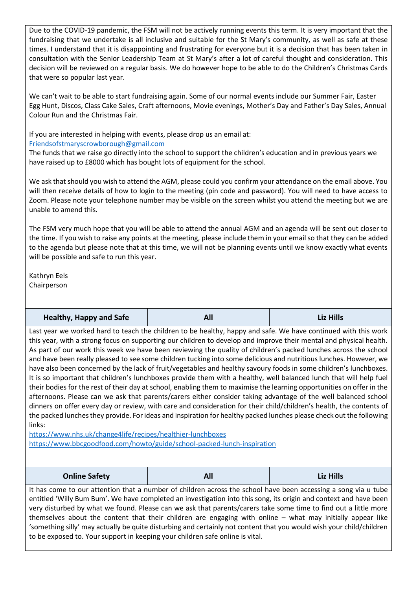Due to the COVID-19 pandemic, the FSM will not be actively running events this term. It is very important that the fundraising that we undertake is all inclusive and suitable for the St Mary's community, as well as safe at these times. I understand that it is disappointing and frustrating for everyone but it is a decision that has been taken in consultation with the Senior Leadership Team at St Mary's after a lot of careful thought and consideration. This decision will be reviewed on a regular basis. We do however hope to be able to do the Children's Christmas Cards that were so popular last year.

We can't wait to be able to start fundraising again. Some of our normal events include our Summer Fair, Easter Egg Hunt, Discos, Class Cake Sales, Craft afternoons, Movie evenings, Mother's Day and Father's Day Sales, Annual Colour Run and the Christmas Fair.

If you are interested in helping with events, please drop us an email at:

## [Friendsofstmaryscrowborough@gmail.com](mailto:Friendsofstmaryscrowborough@gmail.com)

The funds that we raise go directly into the school to support the children's education and in previous years we have raised up to £8000 which has bought lots of equipment for the school.

We ask that should you wish to attend the AGM, please could you confirm your attendance on the email above. You will then receive details of how to login to the meeting (pin code and password). You will need to have access to Zoom. Please note your telephone number may be visible on the screen whilst you attend the meeting but we are unable to amend this.

The FSM very much hope that you will be able to attend the annual AGM and an agenda will be sent out closer to the time. If you wish to raise any points at the meeting, please include them in your email so that they can be added to the agenda but please note that at this time, we will not be planning events until we know exactly what events will be possible and safe to run this year.

Kathryn Eels Chairperson

| <b>Healthy, Happy and Safe</b> | All | <b>Liz Hills</b> |
|--------------------------------|-----|------------------|
|--------------------------------|-----|------------------|

Last year we worked hard to teach the children to be healthy, happy and safe. We have continued with this work this year, with a strong focus on supporting our children to develop and improve their mental and physical health. As part of our work this week we have been reviewing the quality of children's packed lunches across the school and have been really pleased to see some children tucking into some delicious and nutritious lunches. However, we have also been concerned by the lack of fruit/vegetables and healthy savoury foods in some children's lunchboxes. It is so important that children's lunchboxes provide them with a healthy, well balanced lunch that will help fuel their bodies for the rest of their day at school, enabling them to maximise the learning opportunities on offer in the afternoons. Please can we ask that parents/carers either consider taking advantage of the well balanced school dinners on offer every day or review, with care and consideration for their child/children's health, the contents of the packed lunches they provide. For ideas and inspiration for healthy packed lunches please check out the following links:

<https://www.nhs.uk/change4life/recipes/healthier-lunchboxes> <https://www.bbcgoodfood.com/howto/guide/school-packed-lunch-inspiration>

| <b>Online Safety</b> | All | <b>Liz Hills</b> |
|----------------------|-----|------------------|
|----------------------|-----|------------------|

It has come to our attention that a number of children across the school have been accessing a song via u tube entitled 'Willy Bum Bum'. We have completed an investigation into this song, its origin and context and have been very disturbed by what we found. Please can we ask that parents/carers take some time to find out a little more themselves about the content that their children are engaging with online – what may initially appear like 'something silly' may actually be quite disturbing and certainly not content that you would wish your child/children to be exposed to. Your support in keeping your children safe online is vital.